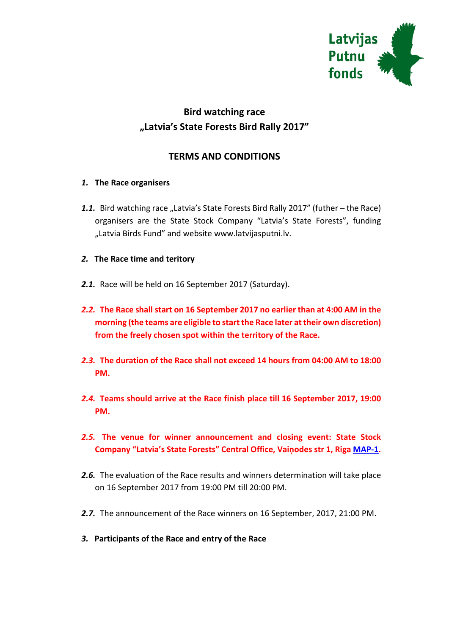

# **Bird watching race "Latvia's State Forests Bird Rally 2017"**

# **TERMS AND CONDITIONS**

## *1.* **The Race organisers**

1.1. Bird watching race "Latvia's State Forests Bird Rally 2017" (futher – the Race) organisers are the State Stock Company "Latvia's State Forests", funding "Latvia Birds Fund" and website www.latvijasputni.lv.

## *2.* **The Race time and teritory**

- *2.1.* Race will be held on 16 September 2017 (Saturday).
- *2.2.* **The Race shall start on 16 September 2017 no earlier than at 4:00 AM in the morning (the teams are eligible to start the Race later at their own discretion) from the freely chosen spot within the territory of the Race.**
- *2.3.* **The duration of the Race shall not exceed 14 hours from 04:00 AM to 18:00 PM.**
- *2.4.* **Teams should arrive at the Race finish place till 16 September 2017, 19:00 PM.**
- *2.5.* **The venue for winner announcement and closing event: State Stock Company "Latvia's State Forests" Central Office, Vaiņodes str 1, Riga [MAP-1.](http://www.latvijasputni.lv/images/stories/pielikumi/putnu_rallijs/2017/007_Putnu_rallijs_Nosleguma_vieta_2017.jpg)**
- *2.6.* The evaluation of the Race results and winners determination will take place on 16 September 2017 from 19:00 PM till 20:00 PM.
- *2.7.* The announcement of the Race winners on 16 September, 2017, 21:00 PM.
- *3.* **Participants of the Race and entry of the Race**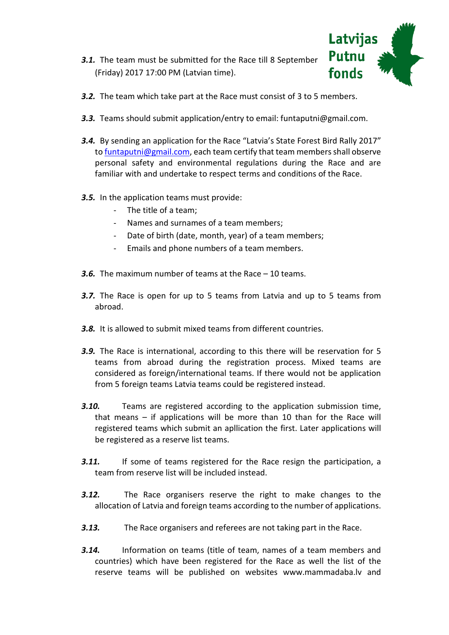*3.1.* The team must be submitted for the Race till 8 September (Friday) 2017 17:00 PM (Latvian time).



- *3.2.* The team which take part at the Race must consist of 3 to 5 members.
- *3.3.* Teams should submit application/entry to email: funtaputni@gmail.com.
- *3.4.* By sending an application for the Race "Latvia's State Forest Bird Rally 2017" t[o funtaputni@gmail.com,](mailto:funtaputni@gmail.com) each team certify that team members shall observe personal safety and environmental regulations during the Race and are familiar with and undertake to respect terms and conditions of the Race.
- *3.5.* In the application teams must provide:
	- The title of a team;
	- Names and surnames of a team members;
	- Date of birth (date, month, year) of a team members;
	- Emails and phone numbers of a team members.
- *3.6.* The maximum number of teams at the Race 10 teams.
- *3.7.* The Race is open for up to 5 teams from Latvia and up to 5 teams from abroad.
- *3.8.* It is allowed to submit mixed teams from different countries.
- *3.9.* The Race is international, according to this there will be reservation for 5 teams from abroad during the registration process. Mixed teams are considered as foreign/international teams. If there would not be application from 5 foreign teams Latvia teams could be registered instead.
- *3.10.* Teams are registered according to the application submission time, that means – if applications will be more than 10 than for the Race will registered teams which submit an apllication the first. Later applications will be registered as a reserve list teams.
- **3.11.** If some of teams registered for the Race resign the participation, a team from reserve list will be included instead.
- *3.12.* The Race organisers reserve the right to make changes to the allocation of Latvia and foreign teams according to the number of applications.
- *3.13.* The Race organisers and referees are not taking part in the Race.
- *3.14.* Information on teams (title of team, names of a team members and countries) which have been registered for the Race as well the list of the reserve teams will be published on websites www.mammadaba.lv and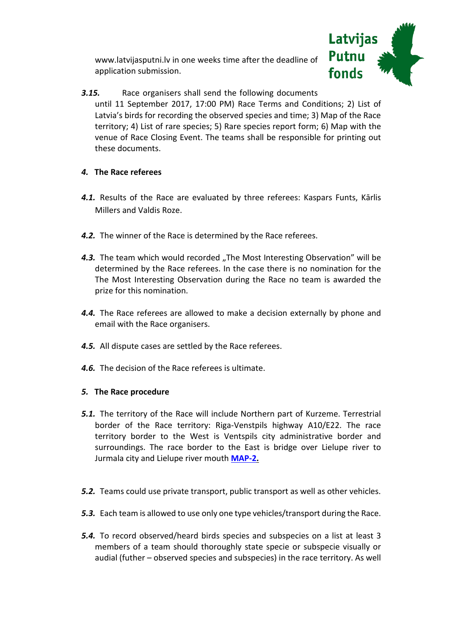www.latvijasputni.lv in one weeks time after the deadline of application submission.



*3.15.* Race organisers shall send the following documents until 11 September 2017, 17:00 PM) Race Terms and Conditions; 2) List of Latvia's birds for recording the observed species and time; 3) Map of the Race territory; 4) List of rare species; 5) Rare species report form; 6) Map with the venue of Race Closing Event. The teams shall be responsible for printing out these documents.

## *4.* **The Race referees**

- *4.1.* Results of the Race are evaluated by three referees: Kaspars Funts, Kārlis Millers and Valdis Roze.
- *4.2.* The winner of the Race is determined by the Race referees.
- 4.3. The team which would recorded "The Most Interesting Observation" will be determined by the Race referees. In the case there is no nomination for the The Most Interesting Observation during the Race no team is awarded the prize for this nomination.
- *4.4.* The Race referees are allowed to make a decision externally by phone and email with the Race organisers.
- *4.5.* All dispute cases are settled by the Race referees.
- *4.6.* The decision of the Race referees is ultimate.

#### *5.* **The Race procedure**

- *5.1.* The territory of the Race will include Northern part of Kurzeme. Terrestrial border of the Race territory: Riga-Venstpils highway A10/E22. The race territory border to the West is Ventspils city administrative border and surroundings. The race border to the East is bridge over Lielupe river to Jurmala city and Lielupe river mouth **[MAP-2.](http://www.latvijasputni.lv/images/stories/pielikumi/putnu_rallijs/2017/006_Putnu_rallijs_sacensibu_teritorija.jpg)**
- *5.2.* Teams could use private transport, public transport as well as other vehicles.
- *5.3.* Each team is allowed to use only one type vehicles/transport during the Race.
- *5.4.* To record observed/heard birds species and subspecies on a list at least 3 members of a team should thoroughly state specie or subspecie visually or audial (futher – observed species and subspecies) in the race territory. As well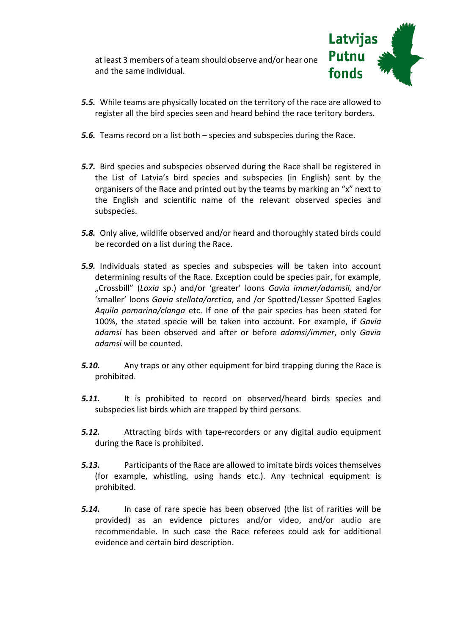at least 3 members of a team should observe and/or hear one and the same individual.



- *5.5.* While teams are physically located on the territory of the race are allowed to register all the bird species seen and heard behind the race teritory borders.
- *5.6.* Teams record on a list both species and subspecies during the Race.
- *5.7.* Bird species and subspecies observed during the Race shall be registered in the List of Latvia's bird species and subspecies (in English) sent by the organisers of the Race and printed out by the teams by marking an "x" next to the English and scientific name of the relevant observed species and subspecies.
- *5.8.* Only alive, wildlife observed and/or heard and thoroughly stated birds could be recorded on a list during the Race.
- *5.9.* Individuals stated as species and subspecies will be taken into account determining results of the Race. Exception could be species pair, for example, "Crossbill" (*Loxia* sp.) and/or 'greater' loons *Gavia immer/adamsii,* and/or 'smaller' loons *Gavia stellata/arctica*, and /or Spotted/Lesser Spotted Eagles *Aquila pomarina/clanga* etc. If one of the pair species has been stated for 100%, the stated specie will be taken into account. For example, if *Gavia adamsi* has been observed and after or before *adamsi/immer*, only *Gavia adamsi* will be counted.
- *5.10.* Any traps or any other equipment for bird trapping during the Race is prohibited.
- *5.11.* It is prohibited to record on observed/heard birds species and subspecies list birds which are trapped by third persons.
- *5.12.* Attracting birds with tape-recorders or any digital audio equipment during the Race is prohibited.
- *5.13.* Participants of the Race are allowed to imitate birds voices themselves (for example, whistling, using hands etc.). Any technical equipment is prohibited.
- *5.14.* In case of rare specie has been observed (the list of rarities will be provided) as an evidence pictures and/or video, and/or audio are recommendable. In such case the Race referees could ask for additional evidence and certain bird description.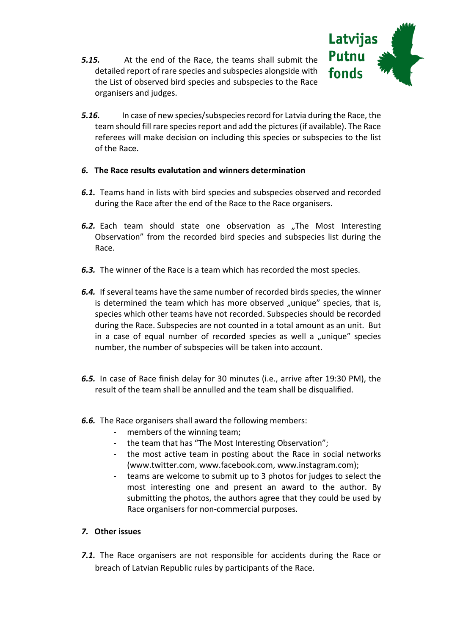*5.15.* At the end of the Race, the teams shall submit the detailed report of rare species and subspecies alongside with the List of observed bird species and subspecies to the Race organisers and judges.



*5.16.* In case of new species/subspeciesrecord for Latvia during the Race, the team should fill rare speciesreport and add the pictures (if available). The Race referees will make decision on including this species or subspecies to the list of the Race.

#### *6.* **The Race results evalutation and winners determination**

- *6.1.* Teams hand in lists with bird species and subspecies observed and recorded during the Race after the end of the Race to the Race organisers.
- **6.2.** Each team should state one observation as "The Most Interesting Observation" from the recorded bird species and subspecies list during the Race.
- *6.3.* The winner of the Race is a team which has recorded the most species.
- *6.4.* If several teams have the same number of recorded birds species, the winner is determined the team which has more observed "unique" species, that is, species which other teams have not recorded. Subspecies should be recorded during the Race. Subspecies are not counted in a total amount as an unit. But in a case of equal number of recorded species as well a "unique" species number, the number of subspecies will be taken into account.
- *6.5.* In case of Race finish delay for 30 minutes (i.e., arrive after 19:30 PM), the result of the team shall be annulled and the team shall be disqualified.
- *6.6.* The Race organisers shall award the following members:
	- members of the winning team;
	- the team that has "The Most Interesting Observation";
	- the most active team in posting about the Race in social networks (www.twitter.com, www.facebook.com, www.instagram.com);
	- teams are welcome to submit up to 3 photos for judges to select the most interesting one and present an award to the author. By submitting the photos, the authors agree that they could be used by Race organisers for non-commercial purposes.

## *7.* **Other issues**

**7.1.** The Race organisers are not responsible for accidents during the Race or breach of Latvian Republic rules by participants of the Race.